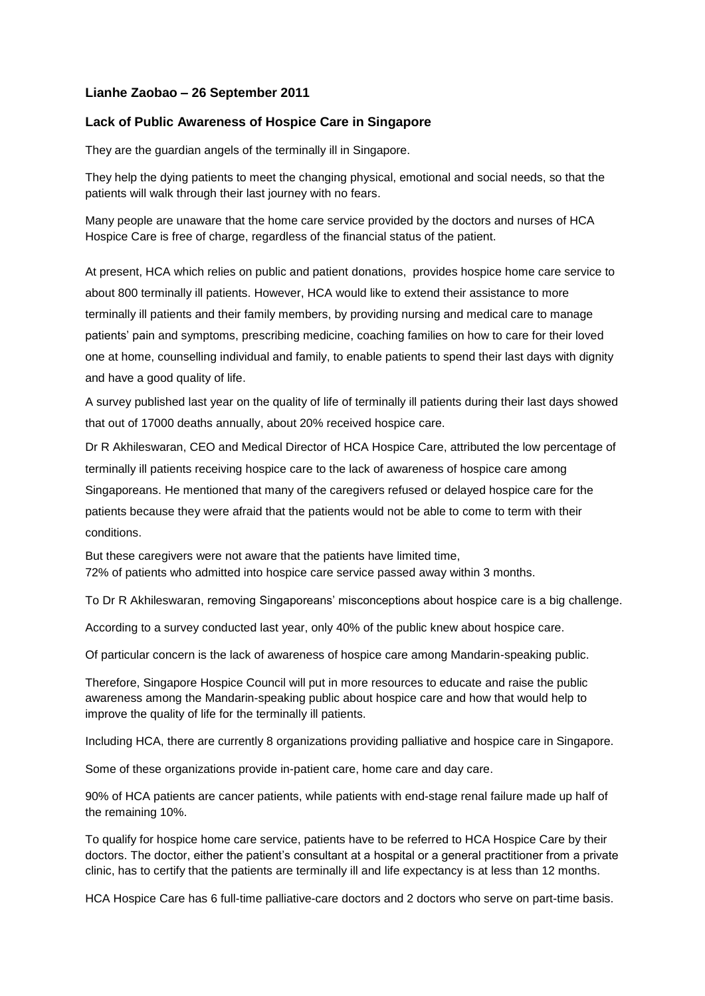## **Lianhe Zaobao – 26 September 2011**

## **Lack of Public Awareness of Hospice Care in Singapore**

They are the guardian angels of the terminally ill in Singapore.

They help the dying patients to meet the changing physical, emotional and social needs, so that the patients will walk through their last journey with no fears.

Many people are unaware that the home care service provided by the doctors and nurses of HCA Hospice Care is free of charge, regardless of the financial status of the patient.

At present, HCA which relies on public and patient donations, provides hospice home care service to about 800 terminally ill patients. However, HCA would like to extend their assistance to more terminally ill patients and their family members, by providing nursing and medical care to manage patients' pain and symptoms, prescribing medicine, coaching families on how to care for their loved one at home, counselling individual and family, to enable patients to spend their last days with dignity and have a good quality of life.

A survey published last year on the quality of life of terminally ill patients during their last days showed that out of 17000 deaths annually, about 20% received hospice care.

Dr R Akhileswaran, CEO and Medical Director of HCA Hospice Care, attributed the low percentage of terminally ill patients receiving hospice care to the lack of awareness of hospice care among Singaporeans. He mentioned that many of the caregivers refused or delayed hospice care for the patients because they were afraid that the patients would not be able to come to term with their conditions.

But these caregivers were not aware that the patients have limited time, 72% of patients who admitted into hospice care service passed away within 3 months.

To Dr R Akhileswaran, removing Singaporeans' misconceptions about hospice care is a big challenge.

According to a survey conducted last year, only 40% of the public knew about hospice care.

Of particular concern is the lack of awareness of hospice care among Mandarin-speaking public.

Therefore, Singapore Hospice Council will put in more resources to educate and raise the public awareness among the Mandarin-speaking public about hospice care and how that would help to improve the quality of life for the terminally ill patients.

Including HCA, there are currently 8 organizations providing palliative and hospice care in Singapore.

Some of these organizations provide in-patient care, home care and day care.

90% of HCA patients are cancer patients, while patients with end-stage renal failure made up half of the remaining 10%.

To qualify for hospice home care service, patients have to be referred to HCA Hospice Care by their doctors. The doctor, either the patient's consultant at a hospital or a general practitioner from a private clinic, has to certify that the patients are terminally ill and life expectancy is at less than 12 months.

HCA Hospice Care has 6 full-time palliative-care doctors and 2 doctors who serve on part-time basis.